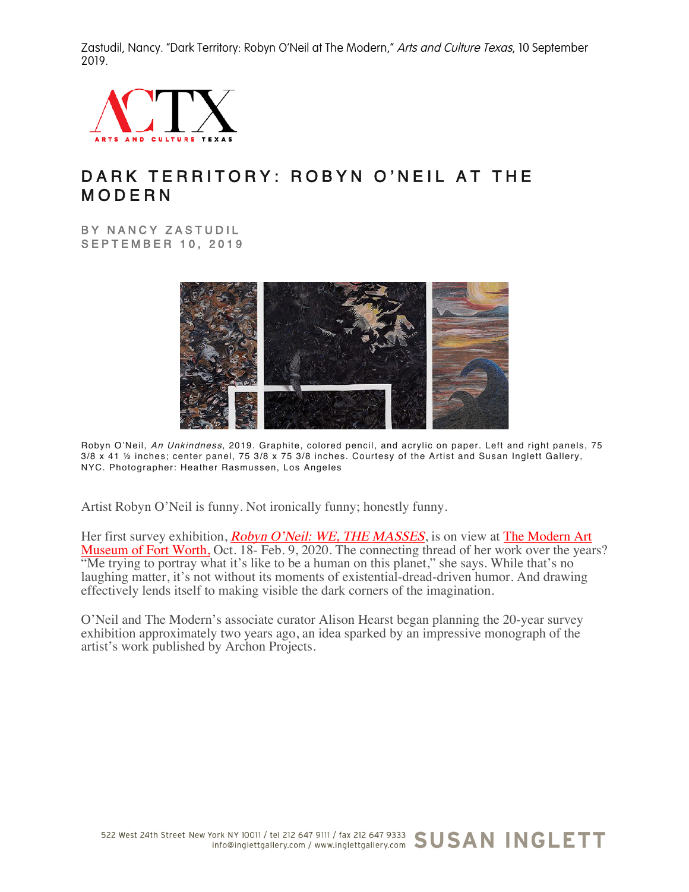Zastudil, Nancy. "Dark Territory: Robyn O'Neil at The Modern," Arts and Culture Texas, 10 September 2019.



## DARK TERRITORY: ROBYN O'NEIL AT THE MODERN

BY NANCY ZASTUDIL SEPTEMBER 10, 2019



Robyn O'Neil, An Unkindness, 2019. Graphite, colored pencil, and acrylic on paper. Left and right panels, 75 3/8 x 41 ½ inches; center panel, 75 3/8 x 75 3/8 inches. Courtesy of the Artist and Susan Inglett Gallery, NYC. Photographer: Heather Rasmussen, Los Angeles

Artist Robyn O'Neil is funny. Not ironically funny; honestly funny.

Her first survey exhibition, *Robyn O'Neil: WE, THE MASSES*, is on view at The Modern Art Museum of Fort Worth, Oct. 18- Feb. 9, 2020. The connecting thread of her work over the years? "Me trying to portray what it's like to be a human on this planet," she says. While that's no laughing matter, it's not without its moments of existential-dread-driven humor. And drawing effectively lends itself to making visible the dark corners of the imagination.

O'Neil and The Modern's associate curator Alison Hearst began planning the 20-year survey exhibition approximately two years ago, an idea sparked by an impressive monograph of the artist's work published by Archon Projects.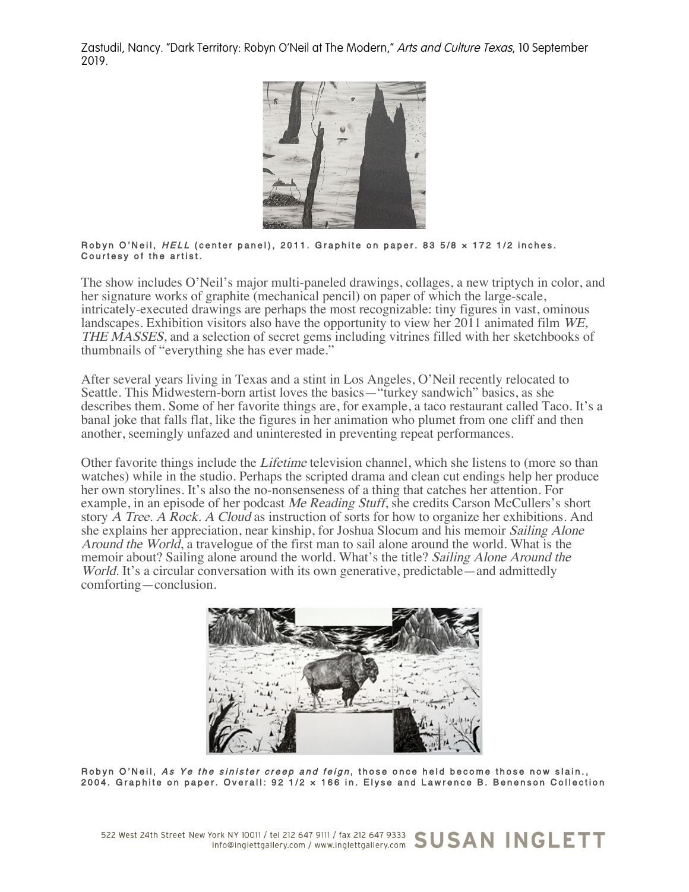Zastudil, Nancy. "Dark Territory: Robyn O'Neil at The Modern," Arts and Culture Texas, 10 September 2019.



## Robyn O'Neil, HELL (center panel), 2011. Graphite on paper. 83 5/8 x 172 1/2 inches. Courtesy of the artist.

The show includes O'Neil's major multi-paneled drawings, collages, a new triptych in color, and her signature works of graphite (mechanical pencil) on paper of which the large-scale, intricately-executed drawings are perhaps the most recognizable: tiny figures in vast, ominous landscapes. Exhibition visitors also have the opportunity to view her 2011 animated film WE, THE MASSES, and a selection of secret gems including vitrines filled with her sketchbooks of thumbnails of "everything she has ever made."

After several years living in Texas and a stint in Los Angeles, O'Neil recently relocated to Seattle. This Midwestern-born artist loves the basics—"turkey sandwich" basics, as she describes them. Some of her favorite things are, for example, a taco restaurant called Taco. It's a banal joke that falls flat, like the figures in her animation who plumet from one cliff and then another, seemingly unfazed and uninterested in preventing repeat performances.

Other favorite things include the Lifetime television channel, which she listens to (more so than watches) while in the studio. Perhaps the scripted drama and clean cut endings help her produce her own storylines. It's also the no-nonsenseness of a thing that catches her attention. For example, in an episode of her podcast Me Reading Stuff, she credits Carson McCullers's short story A Tree. A Rock. A Cloud as instruction of sorts for how to organize her exhibitions. And she explains her appreciation, near kinship, for Joshua Slocum and his memoir Sailing Alone Around the World, a travelogue of the first man to sail alone around the world. What is the memoir about? Sailing alone around the world. What's the title? Sailing Alone Around the World. It's a circular conversation with its own generative, predictable—and admittedly comforting—conclusion.



Robyn O'Neil, As Ye the sinister creep and feign, those once held become those now slain., 2004. Graphite on paper. Overall: 92 1/2 × 166 in. Elyse and Lawrence B. Benenson Collection